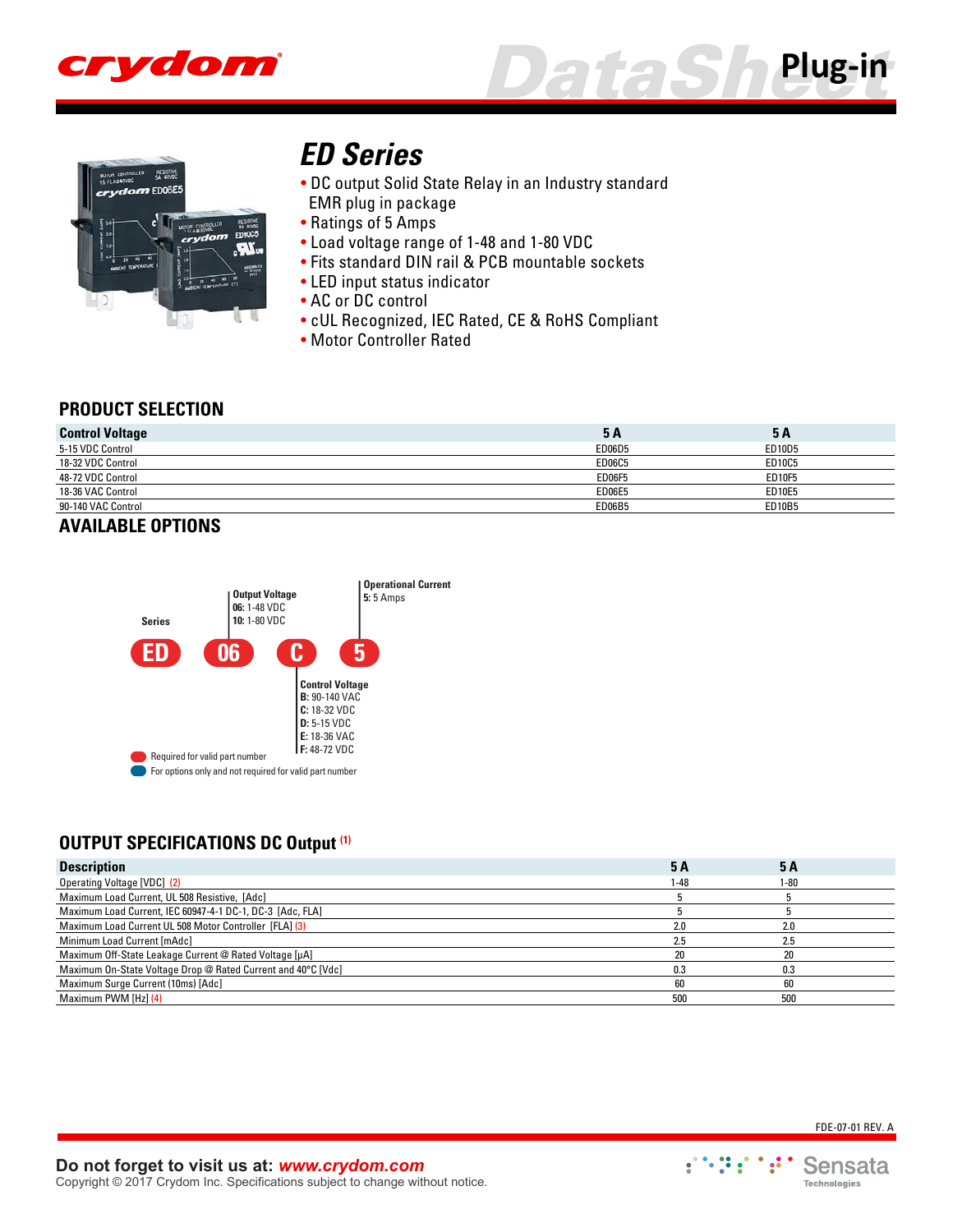





# *[ED Series](http://www.crydom.com/en/products/plug-in/dc-output/ed-series/)*

- DC output Solid State Relay in an Industry standard
- EMR plug in package
- Ratings of 5 Amps
- Load voltage range of 1-48 and 1-80 VDC
- Fits standard DIN rail & PCB mountable sockets
- LED input status indicator
- AC or DC control
- cUL Recognized, IEC Rated, CE & RoHS Compliant
- Motor Controller Rated

#### **PRODUCT SELECTION**

| 5 A           | <b>5A</b>     |
|---------------|---------------|
| ED06D5        | ED10D5        |
| <b>ED06C5</b> | ED10C5        |
| <b>ED06F5</b> | ED10F5        |
| <b>ED06E5</b> | <b>ED10E5</b> |
| ED06B5        | <b>ED10B5</b> |
|               |               |

# **AVAILABLE OPTIONS**



#### **OUTPUT SPECIFICATIONS DC Output (1)**

| <b>Description</b>                                           | <b>5A</b> | 5 A  |  |
|--------------------------------------------------------------|-----------|------|--|
| Operating Voltage [VDC] (2)                                  | 1-48      | 1-80 |  |
| Maximum Load Current, UL 508 Resistive, [Adc]                |           |      |  |
| Maximum Load Current, IEC 60947-4-1 DC-1, DC-3 [Adc, FLA]    |           |      |  |
| Maximum Load Current UL 508 Motor Controller [FLA] (3)       | 2.0       |      |  |
| Minimum Load Current [mAdc]                                  | 2.5       | 2.5  |  |
| Maximum Off-State Leakage Current @ Rated Voltage [µA]       | 20        | 20   |  |
| Maximum On-State Voltage Drop @ Rated Current and 40°C [Vdc] | 0.3       | 0.3  |  |
| Maximum Surge Current (10ms) [Adc]                           | 60        | 60   |  |
| Maximum PWM [Hz] (4)                                         | 500       | 500  |  |

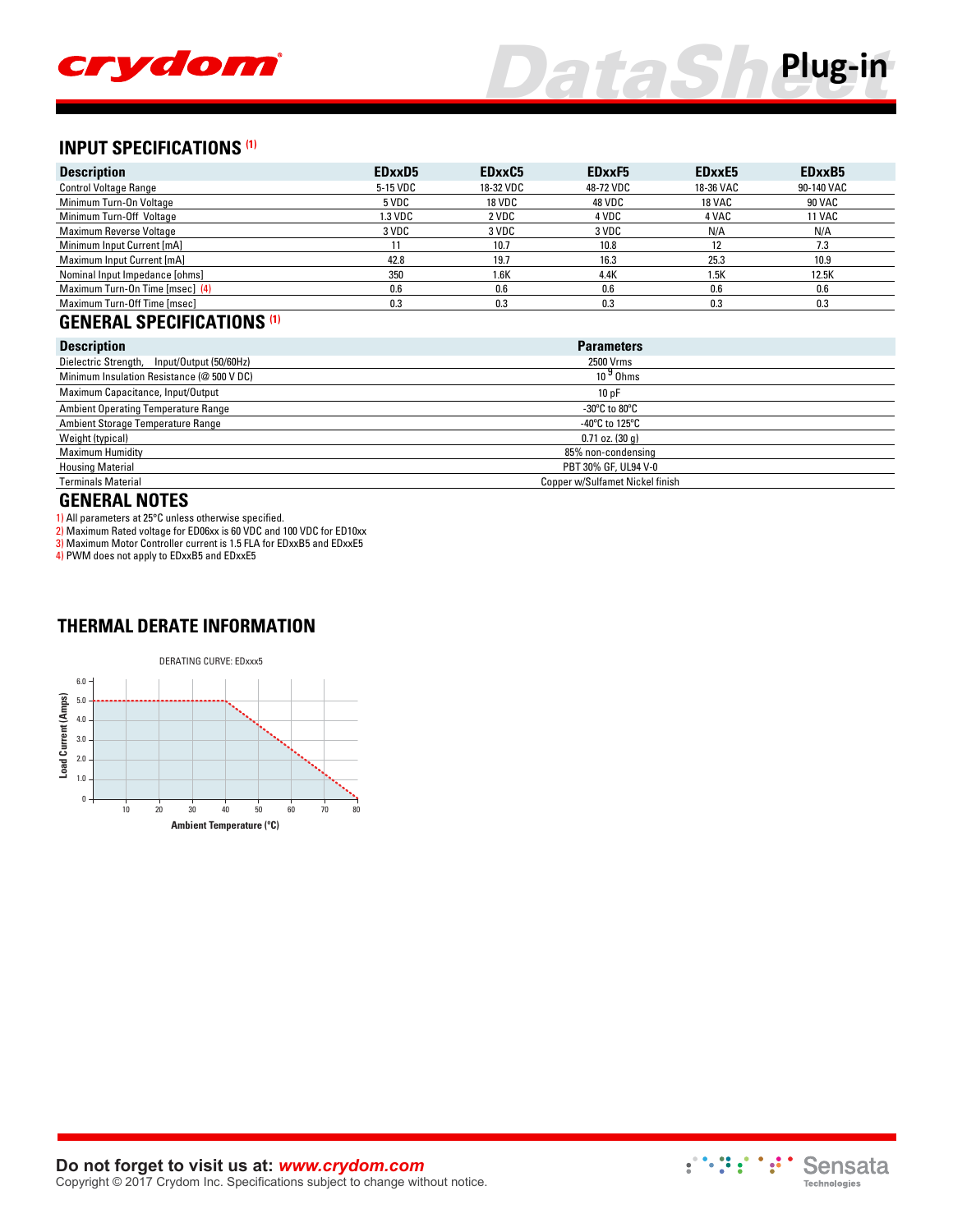

# *DataSh[eet](http://www.crydom.com/en/products/plug-in/ )* **Plug-in**

# **INPUT SPECIFICATIONS (1)**

| <b>Description</b>              | EDxxD5   | EDxxC5        | EDxxF5    | EDxxE5        | EDxxB <sub>5</sub> |
|---------------------------------|----------|---------------|-----------|---------------|--------------------|
| <b>Control Voltage Range</b>    | 5-15 VDC | 18-32 VDC     | 48-72 VDC | 18-36 VAC     | 90-140 VAC         |
| Minimum Turn-On Voltage         | 5 VDC    | <b>18 VDC</b> | 48 VDC    | <b>18 VAC</b> | <b>90 VAC</b>      |
| Minimum Turn-Off Voltage        | 1.3 VDC  | 2 VDC         | 4 VDC     | 4 VAC         | <b>11 VAC</b>      |
| Maximum Reverse Voltage         | 3 VDC    | 3 VDC         | 3 VDC     | N/A           | N/A                |
| Minimum Input Current [mA]      |          | 10.7          | 10.8      | 12            | 7.3                |
| Maximum Input Current [mA]      | 42.8     | 19.7          | 16.3      | 25.3          | 10.9               |
| Nominal Input Impedance [ohms]  | 350      | 1.6K          | 4.4K      | 1.5K          | 12.5K              |
| Maximum Turn-On Time [msec] (4) | 0.6      | 0.6           | 0.6       | 0.6           | 0.6                |
| Maximum Turn-Off Time [msec]    | 0.3      | 0.3           | 0.3       | 0.3           | 0.3                |

#### **GENERAL SPECIFICATIONS (1)**

| <b>Description</b>                          | <b>Parameters</b>                                   |
|---------------------------------------------|-----------------------------------------------------|
| Dielectric Strength, Input/Output (50/60Hz) | 2500 Vrms                                           |
| Minimum Insulation Resistance (@ 500 V DC)  | $109$ Ohms                                          |
| Maximum Capacitance, Input/Output           | 10pF                                                |
| <b>Ambient Operating Temperature Range</b>  | -30 $\mathrm{^{\circ}C}$ to 80 $\mathrm{^{\circ}C}$ |
| Ambient Storage Temperature Range           | -40 $^{\circ}$ C to 125 $^{\circ}$ C                |
| Weight (typical)                            | $0.71$ oz. $(30q)$                                  |
| <b>Maximum Humidity</b>                     | 85% non-condensing                                  |
| <b>Housing Material</b>                     | PBT 30% GF, UL94 V-0                                |
| <b>Terminals Material</b>                   | Copper w/Sulfamet Nickel finish                     |

#### **GENERAL NOTES**

1) All parameters at 25°C unless otherwise specified.

2) Maximum Rated voltage for ED06xx is 60 VDC and 100 VDC for ED10xx

3) Maximum Motor Controller current is 1.5 FLA for EDxxB5 and EDxxE5

4) PWM does not apply to EDxxB5 and EDxxE5

#### **THERMAL DERATE INFORMATION**



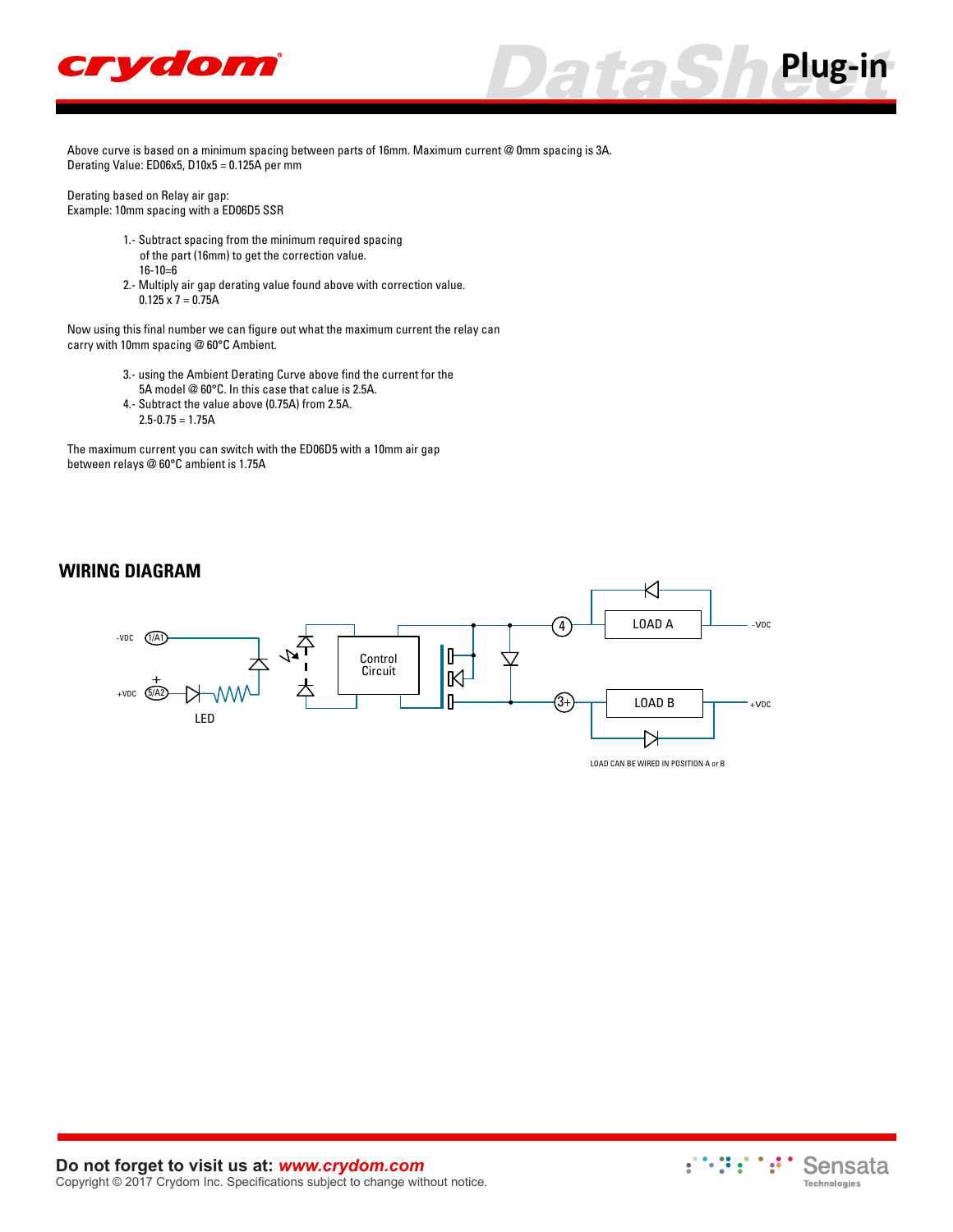



Derating based on Relay air gap: Example: 10mm spacing with a ED06D5 SSR

- 1.- Subtract spacing from the minimum required spacing of the part (16mm) to get the correction value. 16-10=6
- 2.- Multiply air gap derating value found above with correction value.  $0.125 \times 7 = 0.75A$

Now using this final number we can figure out what the maximum current the relay can carry with 10mm spacing @ 60°C Ambient.

- 3.- using the Ambient Derating Curve above find the current for the
- 5A model @ 60°C. In this case that calue is 2.5A. 4.- Subtract the value above (0.75A) from 2.5A.
- $2.5 0.75 = 1.75A$

The maximum current you can switch with the ED06D5 with a 10mm air gap between relays @ 60°C ambient is 1.75A

#### **WIRING DIAGRAM**





*DataSh[eet](http://www.crydom.com/en/products/plug-in/)* **Plug-in**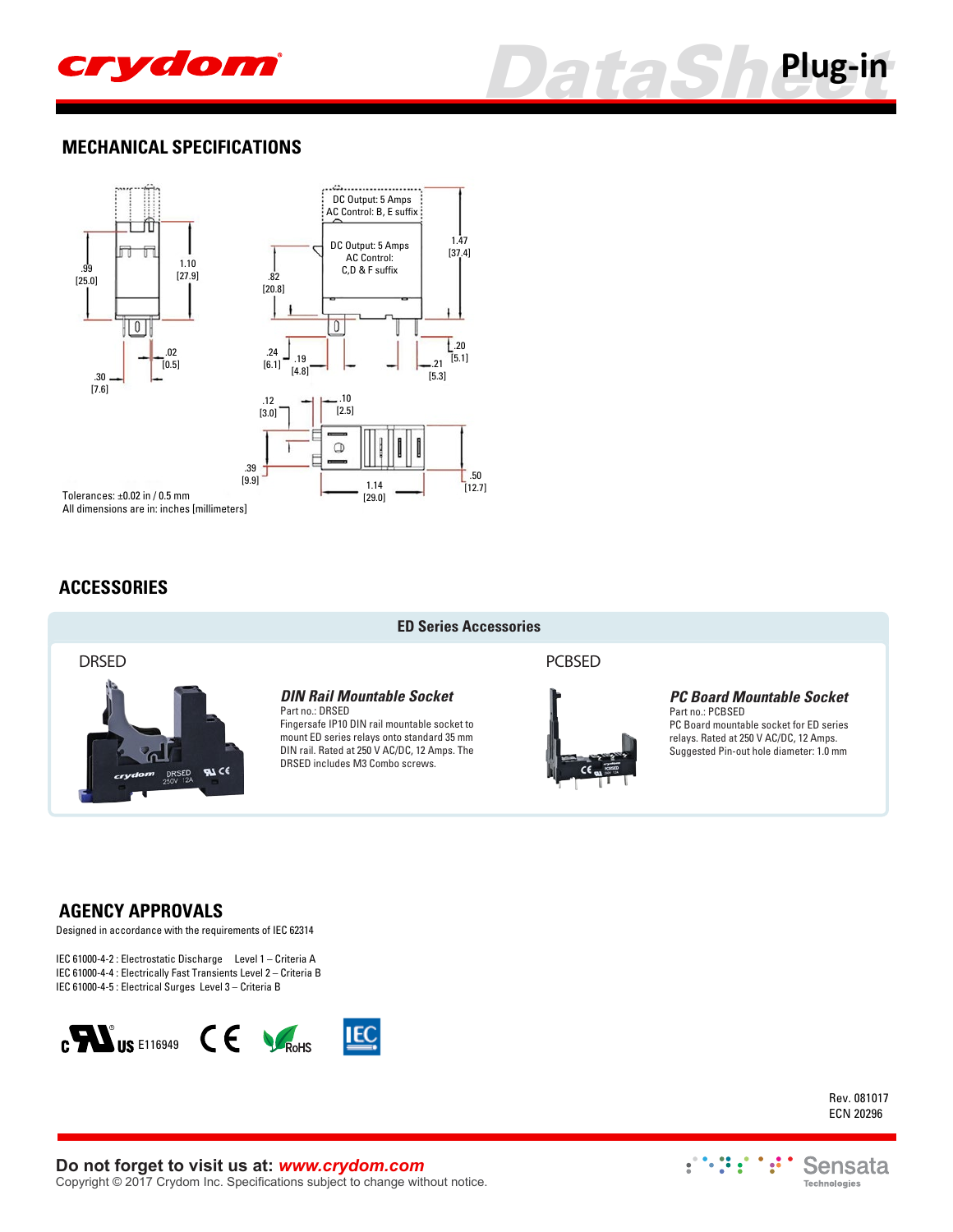



#### **MECHANICAL SPECIFICATIONS**



All dimensions are in: inches [millimeters]

#### **ACCESSORIES**



### **DRSED PCBSED**

**ED Series Accessories**

*DIN Rail Mountable Socket*

Part no.: DRSED Fingersafe IP10 DIN rail mountable socket to mount ED series relays onto standard 35 mm DIN rail. Rated at 250 V AC/DC, 12 Amps. The DRSED includes M3 Combo screws.



#### *PC Board Mountable Socket*

Part no.: PCBSED PC Board mountable socket for ED series relays. Rated at 250 V AC/DC, 12 Amps. Suggested Pin-out hole diameter: 1.0 mm

#### **AGENCY APPROVALS**

Designed in accordance with the requirements of IEC 62314

IEC 61000-4-2 : Electrostatic Discharge Level 1 – Criteria A IEC 61000-4-4 : Electrically Fast Transients Level 2 – Criteria B IEC 61000-4-5 : Electrical Surges Level 3 – Criteria B



Rev. 081017 ECN 20296

**Do not forget to visit us at:** *[www.crydom.com](http://www.crydom.com/)* Copyright © 2017 Crydom Inc. Specifications subject to change without notice.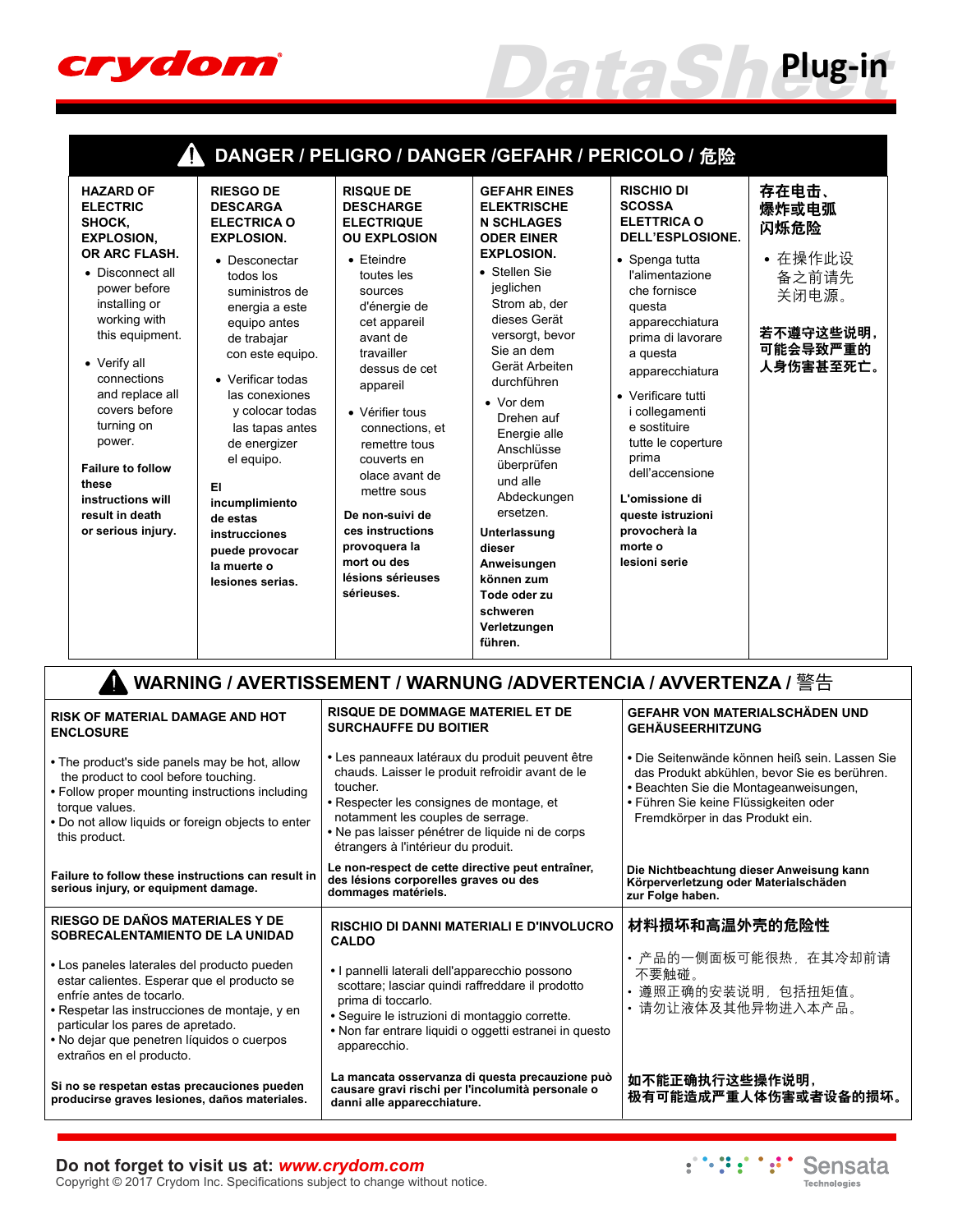

|                                                                                                                                                                                                                                                                                                                                                                           |                                                                                                                                                                                                                                                                                                                                                                                                                          |                                                                                                                                                                                                                                                                                                                                                                                                                                         | DANGER / PELIGRO / DANGER /GEFAHR / PERICOLO / 危险                                                                                                                                                                                                                                                                                                                                                                                                                             |                                                                                                                                                                                                                                                                                                                                                                                                                         |                                                                                           |
|---------------------------------------------------------------------------------------------------------------------------------------------------------------------------------------------------------------------------------------------------------------------------------------------------------------------------------------------------------------------------|--------------------------------------------------------------------------------------------------------------------------------------------------------------------------------------------------------------------------------------------------------------------------------------------------------------------------------------------------------------------------------------------------------------------------|-----------------------------------------------------------------------------------------------------------------------------------------------------------------------------------------------------------------------------------------------------------------------------------------------------------------------------------------------------------------------------------------------------------------------------------------|-------------------------------------------------------------------------------------------------------------------------------------------------------------------------------------------------------------------------------------------------------------------------------------------------------------------------------------------------------------------------------------------------------------------------------------------------------------------------------|-------------------------------------------------------------------------------------------------------------------------------------------------------------------------------------------------------------------------------------------------------------------------------------------------------------------------------------------------------------------------------------------------------------------------|-------------------------------------------------------------------------------------------|
| <b>HAZARD OF</b><br><b>ELECTRIC</b><br>SHOCK.<br><b>EXPLOSION.</b><br>OR ARC FLASH.<br>• Disconnect all<br>power before<br>installing or<br>working with<br>this equipment.<br>• Verify all<br>connections<br>and replace all<br>covers before<br>turning on<br>power.<br><b>Failure to follow</b><br>these<br>instructions will<br>result in death<br>or serious injury. | <b>RIESGO DE</b><br><b>DESCARGA</b><br><b>ELECTRICA O</b><br><b>EXPLOSION.</b><br>• Desconectar<br>todos los<br>suministros de<br>energia a este<br>equipo antes<br>de trabajar<br>con este equipo.<br>• Verificar todas<br>las conexiones<br>y colocar todas<br>las tapas antes<br>de energizer<br>el equipo.<br>EI<br>incumplimiento<br>de estas<br>instrucciones<br>puede provocar<br>la muerte o<br>lesiones serias. | <b>RISQUE DE</b><br><b>DESCHARGE</b><br><b>ELECTRIQUE</b><br><b>OU EXPLOSION</b><br>$\bullet$ Eteindre<br>toutes les<br>sources<br>d'énergie de<br>cet appareil<br>avant de<br>travailler<br>dessus de cet<br>appareil<br>• Vérifier tous<br>connections, et<br>remettre tous<br>couverts en<br>olace avant de<br>mettre sous<br>De non-suivi de<br>ces instructions<br>provoquera la<br>mort ou des<br>lésions sérieuses<br>sérieuses. | <b>GEFAHR EINES</b><br><b>ELEKTRISCHE</b><br><b>N SCHLAGES</b><br><b>ODER EINER</b><br><b>EXPLOSION.</b><br>• Stellen Sie<br>jeglichen<br>Strom ab, der<br>dieses Gerät<br>versorgt, bevor<br>Sie an dem<br>Gerät Arbeiten<br>durchführen<br>$\bullet$ Vor dem<br>Drehen auf<br>Energie alle<br>Anschlüsse<br>überprüfen<br>und alle<br>Abdeckungen<br>ersetzen<br>Unterlassung<br>dieser<br>Anweisungen<br>können zum<br>Tode oder zu<br>schweren<br>Verletzungen<br>führen. | <b>RISCHIO DI</b><br><b>SCOSSA</b><br><b>ELETTRICA O</b><br>DELL'ESPLOSIONE.<br>• Spenga tutta<br>l'alimentazione<br>che fornisce<br>questa<br>apparecchiatura<br>prima di lavorare<br>a questa<br>apparecchiatura<br>• Verificare tutti<br><i>i</i> collegamenti<br>e sostituire<br>tutte le coperture<br>prima<br>dell'accensione<br>L'omissione di<br>queste istruzioni<br>provocherà la<br>morte o<br>lesioni serie | 存在电击、<br>爆炸或电弧<br>闪烁危险<br>• 在操作此设<br>备之前请先<br>关闭电源。<br>若不遵守这些说明,<br>可能会导致严重的<br>人身伤害甚至死亡。 |

| WARNING / AVERTISSEMENT / WARNUNG /ADVERTENCIA / AVVERTENZA / 警告                                                                                                                                                                                                                       |                                                                                                                                                                                                                                                                                            |                                                                                                                                                                                                                      |  |  |  |  |  |
|----------------------------------------------------------------------------------------------------------------------------------------------------------------------------------------------------------------------------------------------------------------------------------------|--------------------------------------------------------------------------------------------------------------------------------------------------------------------------------------------------------------------------------------------------------------------------------------------|----------------------------------------------------------------------------------------------------------------------------------------------------------------------------------------------------------------------|--|--|--|--|--|
| <b>RISK OF MATERIAL DAMAGE AND HOT</b><br><b>ENCLOSURE</b>                                                                                                                                                                                                                             | <b>RISQUE DE DOMMAGE MATERIEL ET DE</b><br><b>SURCHAUFFE DU BOITIER</b>                                                                                                                                                                                                                    | <b>GEFAHR VON MATERIALSCHÄDEN UND</b><br><b>GEHÄUSEERHITZUNG</b>                                                                                                                                                     |  |  |  |  |  |
| • The product's side panels may be hot, allow<br>the product to cool before touching.<br>• Follow proper mounting instructions including<br>torque values.<br>. Do not allow liquids or foreign objects to enter<br>this product.                                                      | • Les panneaux latéraux du produit peuvent être<br>chauds. Laisser le produit refroidir avant de le<br>toucher<br>• Respecter les consignes de montage, et<br>notamment les couples de serrage.<br>• Ne pas laisser pénétrer de liquide ni de corps<br>étrangers à l'intérieur du produit. | • Die Seitenwände können heiß sein. Lassen Sie<br>das Produkt abkühlen, bevor Sie es berühren.<br>• Beachten Sie die Montageanweisungen,<br>• Führen Sie keine Flüssigkeiten oder<br>Fremdkörper in das Produkt ein. |  |  |  |  |  |
| Failure to follow these instructions can result in<br>serious injury, or equipment damage.                                                                                                                                                                                             | Le non-respect de cette directive peut entraîner,<br>des lésions corporelles graves ou des<br>dommages matériels.                                                                                                                                                                          | Die Nichtbeachtung dieser Anweisung kann<br>Körperverletzung oder Materialschäden<br>zur Folge haben.                                                                                                                |  |  |  |  |  |
| RIESGO DE DAÑOS MATERIALES Y DE<br>SOBRECALENTAMIENTO DE LA UNIDAD                                                                                                                                                                                                                     | <b>RISCHIO DI DANNI MATERIALI E D'INVOLUCRO</b><br><b>CALDO</b>                                                                                                                                                                                                                            | 材料损坏和高温外壳的危险性                                                                                                                                                                                                        |  |  |  |  |  |
| • Los paneles laterales del producto pueden<br>estar calientes. Esperar que el producto se<br>enfríe antes de tocarlo.<br>• Respetar las instrucciones de montaje, y en<br>particular los pares de apretado.<br>• No dejar que penetren líquidos o cuerpos<br>extraños en el producto. | • I pannelli laterali dell'apparecchio possono<br>scottare; lasciar quindi raffreddare il prodotto<br>prima di toccarlo.<br>· Seguire le istruzioni di montaggio corrette.<br>• Non far entrare liquidi o oggetti estranei in questo<br>apparecchio.                                       | • 产品的一侧面板可能很热, 在其冷却前请<br>不要触碰。<br>遵照正确的安装说明,包括扭矩值。<br>• 请勿让液体及其他异物进入本产品。                                                                                                                                             |  |  |  |  |  |
| Si no se respetan estas precauciones pueden<br>producirse graves lesiones, daños materiales.                                                                                                                                                                                           | La mancata osservanza di questa precauzione può<br>causare gravi rischi per l'incolumità personale o<br>danni alle apparecchiature.                                                                                                                                                        | 如不能正确执行这些操作说明,<br>极有可能造成严重人体伤害或者设备的损坏。                                                                                                                                                                               |  |  |  |  |  |



*DataSh[eet](http://www.crydom.com/en/products/plug-in/ )* **Plug-in**